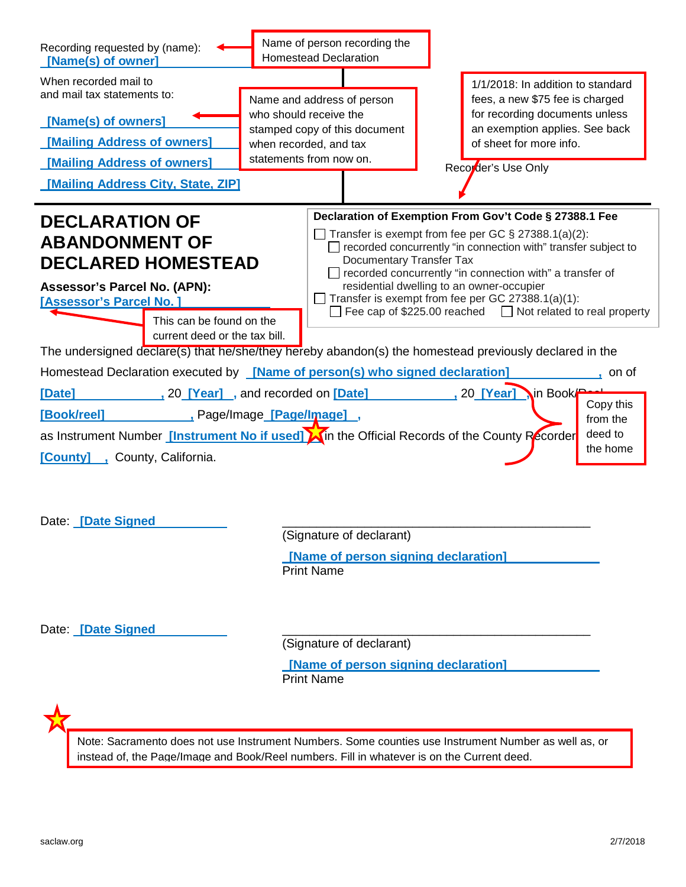| Recording requested by (name):<br>[Name(s) of owner]                                                                                                                                                                                                                                                                                                                                                                                                                                                                                     |  | Name of person recording the<br><b>Homestead Declaration</b>                                                                                                                   |                                                                                                                                                                                                                                                                                                                                                                                                                                                                                                                                                                                                                          |
|------------------------------------------------------------------------------------------------------------------------------------------------------------------------------------------------------------------------------------------------------------------------------------------------------------------------------------------------------------------------------------------------------------------------------------------------------------------------------------------------------------------------------------------|--|--------------------------------------------------------------------------------------------------------------------------------------------------------------------------------|--------------------------------------------------------------------------------------------------------------------------------------------------------------------------------------------------------------------------------------------------------------------------------------------------------------------------------------------------------------------------------------------------------------------------------------------------------------------------------------------------------------------------------------------------------------------------------------------------------------------------|
| When recorded mail to<br>and mail tax statements to:<br>[Name(s) of owners]<br>[Mailing Address of owners]<br>[Mailing Address of owners]<br>[Mailing Address City, State, ZIP]                                                                                                                                                                                                                                                                                                                                                          |  | Name and address of person<br>who should receive the<br>stamped copy of this document<br>when recorded, and tax<br>statements from now on.                                     | 1/1/2018: In addition to standard<br>fees, a new \$75 fee is charged<br>for recording documents unless<br>an exemption applies. See back<br>of sheet for more info.<br>Recorder's Use Only                                                                                                                                                                                                                                                                                                                                                                                                                               |
| <b>DECLARATION OF</b><br><b>ABANDONMENT OF</b><br><b>DECLARED HOMESTEAD</b><br>Assessor's Parcel No. (APN):<br>[Assessor's Parcel No.]<br>This can be found on the<br>current deed or the tax bill.<br>Homestead Declaration executed by <b>[Name of person(s) who signed declaration</b> ]<br>20 [Year], and recorded on [Date]<br>[Date]<br>Page/Image <u>_[Page/Image]_</u> ,<br>[Book/reel]<br>as Instrument Number <i>[Instrument No if used]</i> A in the Official Records of the County Recorder<br>[County], County, California. |  | <b>Documentary Transfer Tax</b>                                                                                                                                                | Declaration of Exemption From Gov't Code § 27388.1 Fee<br>Transfer is exempt from fee per GC § 27388.1(a)(2):<br>recorded concurrently "in connection with" transfer subject to<br>$\Box$ recorded concurrently "in connection with" a transfer of<br>residential dwelling to an owner-occupier<br>Transfer is exempt from fee per GC 27388.1(a)(1):<br>Fee cap of \$225.00 reached $\Box$ Not related to real property<br>The undersigned declare(s) that he/she/they hereby abandon(s) the homestead previously declared in the<br>, on of<br>20 <b>[Year]</b> in Book<br>Copy this<br>from the<br>deed to<br>the home |
| Date: [Date Signed<br>Date: [Date Signed                                                                                                                                                                                                                                                                                                                                                                                                                                                                                                 |  | (Signature of declarant)<br>[Name of person signing declaration]<br><b>Print Name</b><br>(Signature of declarant)<br>[Name of person signing declaration]<br><b>Print Name</b> |                                                                                                                                                                                                                                                                                                                                                                                                                                                                                                                                                                                                                          |
| Note: Sacramento does not use Instrument Numbers. Some counties use Instrument Number as well as, or<br>instead of, the Page/Image and Book/Reel numbers. Fill in whatever is on the Current deed.                                                                                                                                                                                                                                                                                                                                       |  |                                                                                                                                                                                |                                                                                                                                                                                                                                                                                                                                                                                                                                                                                                                                                                                                                          |